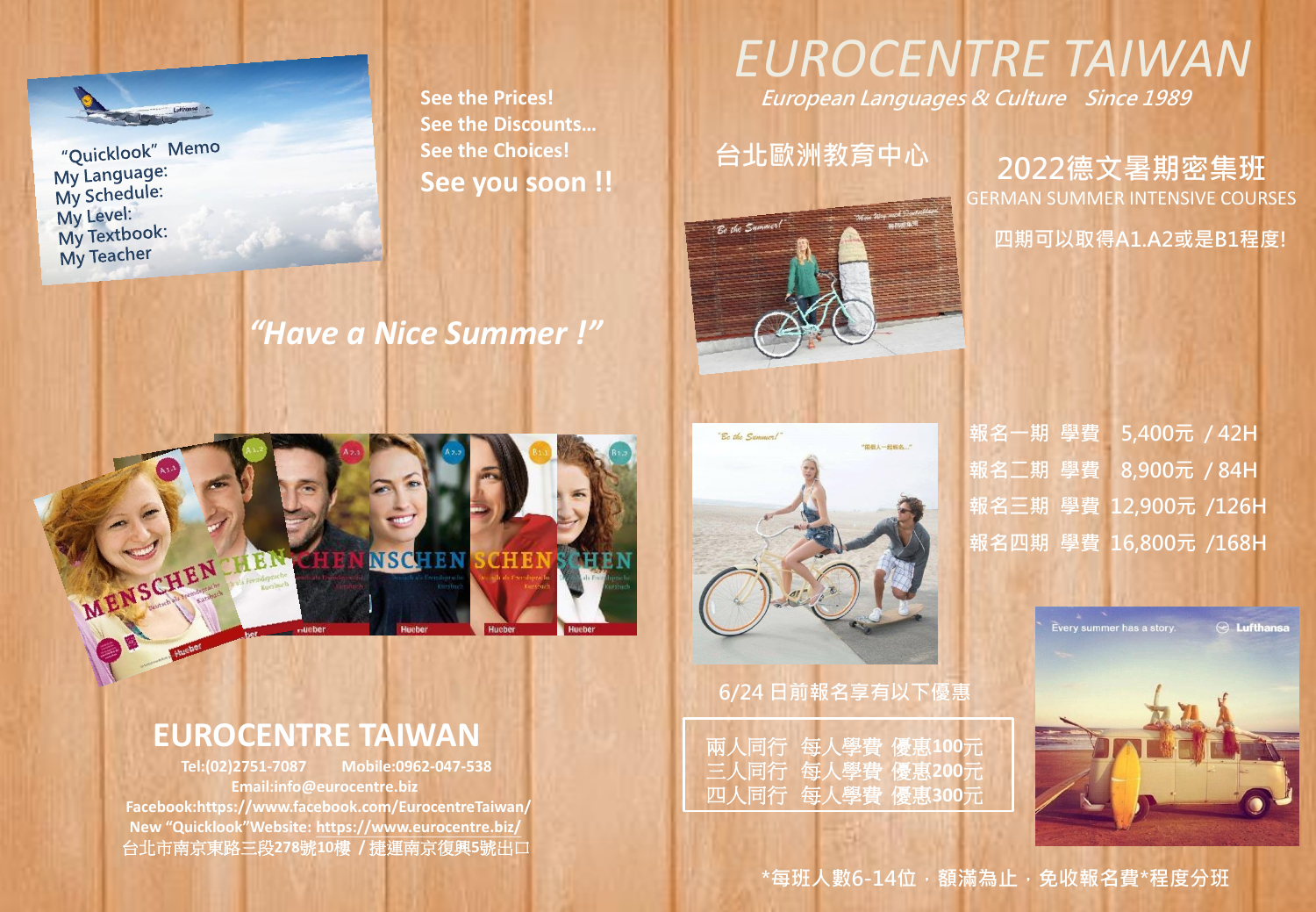

"Quicklook" Memo My Language: My Schedule: My Level: My Textbook: My Teacher

MENSCHEN HEN

**See the Prices! See the Discounts… See the Choices! See you soon !!**

**TAHLA** 

*"Have a Nice Summer !"*

**NSCHEN** 

# *EUROCENTRE TAIWAN*

European Languages & Culture Since 1989



台北歐洲教育中心 2022德文暑期密集班 GERMAN SUMMER INTENSIVE COURSES 四期可以取得A1.A2或是B1程度!

# "Be the Summer! "兩個人一起報名…"

兩人同行每人學費優惠**100**元 三人同行每人學費優惠**200**元 四人同行每人學費優惠**300**元

6/24 日前報名享有以下優惠

報名一期 學費 5,400元 / 42H 報名二期 學費 8,900元 / 84H 報名三期 學費 12,900元 /126H 報名四期 學費 16,800元 /168H

> .<br>Every summer has a story.  $\odot$  Lufthansa



#### **EUROCENTRE TAIWAN**

 **Tel:(02)2751-7087 Mobile:0962-047-538 Email:info@eurocentre.biz Facebook:https://www.facebook.com/EurocentreTaiwan/ New "Quicklook"Website: https://www.eurocentre.biz/** 台北市南京東路三段**278**號**10**樓 **/** 捷運南京復興**5**號出口

\*每班人數6-14位,額滿為止,免收報名費\*程度分班